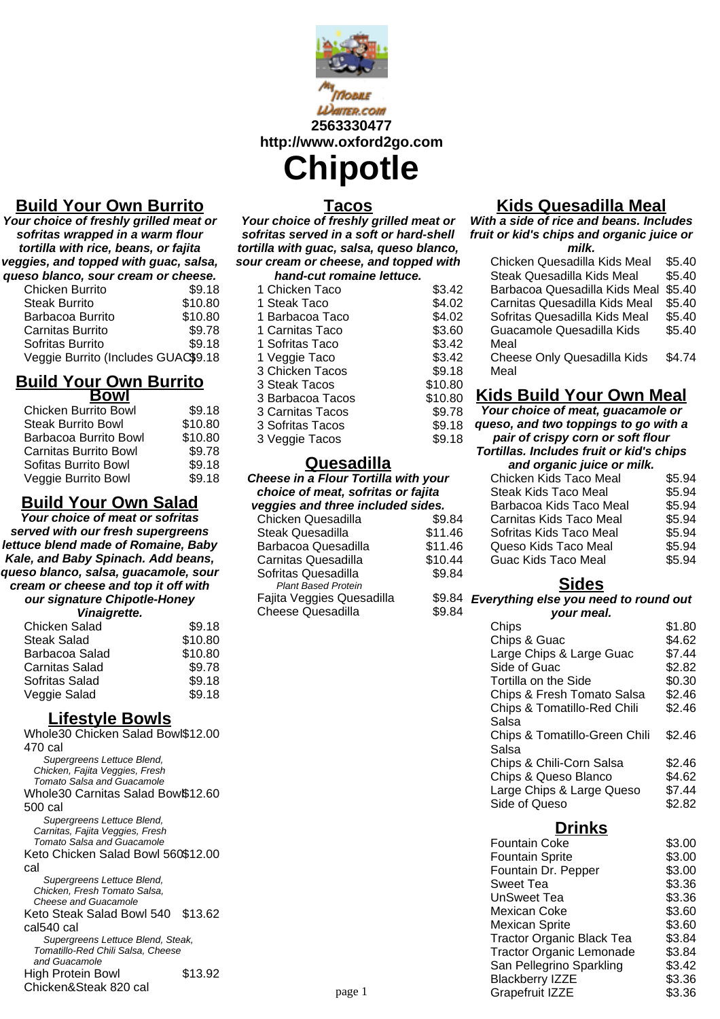

**Waiter.com 2563330477 http://www.oxford2go.com Chipotle**

# **Build Your Own Burrito**

**Your choice of freshly grilled meat or sofritas wrapped in a warm flour tortilla with rice, beans, or fajita veggies, and topped with guac, salsa, queso blanco, sour cream or cheese.**

| eso planco, sour cream or cheese.   |         |
|-------------------------------------|---------|
| Chicken Burrito                     | \$9.18  |
| <b>Steak Burrito</b>                | \$10.80 |
| Barbacoa Burrito                    | \$10.80 |
| Carnitas Burrito                    | \$9.78  |
| Sofritas Burrito                    | \$9.18  |
| Veggie Burrito (Includes GUAC\$9.18 |         |

### **Build Your Own Burrito Bowl**

| DUWI                         |         |
|------------------------------|---------|
| <b>Chicken Burrito Bowl</b>  | \$9.18  |
| <b>Steak Burrito Bowl</b>    | \$10.80 |
| Barbacoa Burrito Bowl        | \$10.80 |
| <b>Carnitas Burrito Bowl</b> | \$9.78  |
| Sofitas Burrito Bowl         | \$9.18  |
| Veggie Burrito Bowl          | \$9.18  |

# **Build Your Own Salad**

**Your choice of meat or sofritas served with our fresh supergreens lettuce blend made of Romaine, Baby Kale, and Baby Spinach. Add beans, queso blanco, salsa, guacamole, sour cream or cheese and top it off with our signature Chipotle-Honey**

#### **Vinaigrette.**

| <u>raago</u> cto.     |         |
|-----------------------|---------|
| Chicken Salad         | \$9.18  |
| Steak Salad           | \$10.80 |
| Barbacoa Salad        | \$10.80 |
| <b>Carnitas Salad</b> | \$9.78  |
| Sofritas Salad        | \$9.18  |
| Veggie Salad          | \$9.18  |
|                       |         |

### **Lifestyle Bowls**

Whole30 Chicken Salad Bowl \$12.00 470 cal Supergreens Lettuce Blend, Chicken, Fajita Veggies, Fresh Tomato Salsa and Guacamole Whole30 Carnitas Salad Bow\$12.60 500 cal Supergreens Lettuce Blend, Carnitas, Fajita Veggies, Fresh Tomato Salsa and Guacamole Keto Chicken Salad Bowl 560 \$12.00 cal Supergreens Lettuce Blend, Chicken, Fresh Tomato Salsa, Cheese and Guacamole Keto Steak Salad Bowl 540 \$13.62 cal540 cal Supergreens Lettuce Blend, Steak, Tomatillo-Red Chili Salsa, Cheese and Guacamole High Protein Bowl Chicken&Steak 820 cal \$13.92

# **Tacos**

**Your choice of freshly grilled meat or sofritas served in a soft or hard-shell tortilla with guac, salsa, queso blanco, sour cream or cheese, and topped with**

| hand-cut romaine lettuce. |         |
|---------------------------|---------|
| 1 Chicken Taco            | \$3.42  |
| 1 Steak Taco              | \$4.02  |
| 1 Barbacoa Taco           | \$4.02  |
| 1 Carnitas Taco           | \$3.60  |
| 1 Sofritas Taco           | \$3.42  |
| 1 Veggie Taco             | \$3.42  |
| 3 Chicken Tacos           | \$9.18  |
| 3 Steak Tacos             | \$10.80 |
| 3 Barbacoa Tacos          | \$10.80 |
| 3 Carnitas Tacos          | \$9.78  |
| 3 Sofritas Tacos          | \$9.18  |
| 3 Veggie Tacos            | \$9.18  |

#### **Quesadilla**

| Cheese in a Flour Tortilla with your<br>choice of meat, sofritas or fajita |         |  |
|----------------------------------------------------------------------------|---------|--|
| veggies and three included sides.                                          |         |  |
| Chicken Quesadilla                                                         | \$9.84  |  |
| <b>Steak Quesadilla</b>                                                    | \$11.46 |  |
| Barbacoa Quesadilla                                                        | \$11.46 |  |
| <b>Carnitas Quesadilla</b>                                                 | \$10.44 |  |
| Sofritas Quesadilla                                                        | \$9.84  |  |
| <b>Plant Based Protein</b>                                                 |         |  |
| Fajita Veggies Quesadilla                                                  | \$9.84  |  |
| <b>Cheese Quesadilla</b>                                                   | \$9.84  |  |

# **Kids Quesadilla Meal**

**With a side of rice and beans. Includes fruit or kid's chips and organic juice or milk.**

| Chicken Quesadilla Kids Meal       | \$5.40 |
|------------------------------------|--------|
| Steak Quesadilla Kids Meal         | \$5.40 |
| Barbacoa Quesadilla Kids Meal      | \$5.40 |
| Carnitas Quesadilla Kids Meal      | \$5.40 |
| Sofritas Quesadilla Kids Meal      | \$5.40 |
| Guacamole Quesadilla Kids          | \$5.40 |
| Meal                               |        |
| <b>Cheese Only Quesadilla Kids</b> | \$4.74 |
| Meal                               |        |
|                                    |        |

# **Kids Build Your Own Meal**

**Your choice of meat, guacamole or queso, and two toppings to go with a pair of crispy corn or soft flour**

**Tortillas. Includes fruit or kid's chips and organic juice or milk.**

| anu viyaniv julu <del>c</del> vi milin. |        |
|-----------------------------------------|--------|
| Chicken Kids Taco Meal                  | \$5.94 |
| <b>Steak Kids Taco Meal</b>             | \$5.94 |
| Barbacoa Kids Taco Meal                 | \$5.94 |
| Carnitas Kids Taco Meal                 | \$5.94 |
| Sofritas Kids Taco Meal                 | \$5.94 |
| Queso Kids Taco Meal                    | \$5.94 |
| Guac Kids Taco Meal                     | \$5.94 |
|                                         |        |

### **Sides**

### **Everything else you need to round out**

| \$1.80<br>Chips                         |  |
|-----------------------------------------|--|
| Chips & Guac<br>\$4.62                  |  |
| Large Chips & Large Guac<br>\$7.44      |  |
| Side of Guac<br>\$2.82                  |  |
| \$0.30<br>Tortilla on the Side          |  |
| Chips & Fresh Tomato Salsa<br>\$2.46    |  |
| \$2.46<br>Chips & Tomatillo-Red Chili   |  |
| Salsa                                   |  |
| Chips & Tomatillo-Green Chili<br>\$2.46 |  |
| Salsa                                   |  |
| Chips & Chili-Corn Salsa<br>\$2.46      |  |
| Chips & Queso Blanco<br>\$4.62          |  |
| Large Chips & Large Queso<br>\$7.44     |  |
| Side of Queso<br>\$2.82                 |  |

**Drinks**

|        | <b>Fountain Coke</b>             | \$3.00 |
|--------|----------------------------------|--------|
|        | <b>Fountain Sprite</b>           | \$3.00 |
|        | Fountain Dr. Pepper              | \$3.00 |
|        | Sweet Tea                        | \$3.36 |
|        | <b>UnSweet Tea</b>               | \$3.36 |
|        | Mexican Coke                     | \$3.60 |
|        | <b>Mexican Sprite</b>            | \$3.60 |
|        | <b>Tractor Organic Black Tea</b> | \$3.84 |
|        | <b>Tractor Organic Lemonade</b>  | \$3.84 |
|        | San Pellegrino Sparkling         | \$3.42 |
|        | <b>Blackberry IZZE</b>           | \$3.36 |
| page 1 | Grapefruit IZZE                  | \$3.36 |
|        |                                  |        |